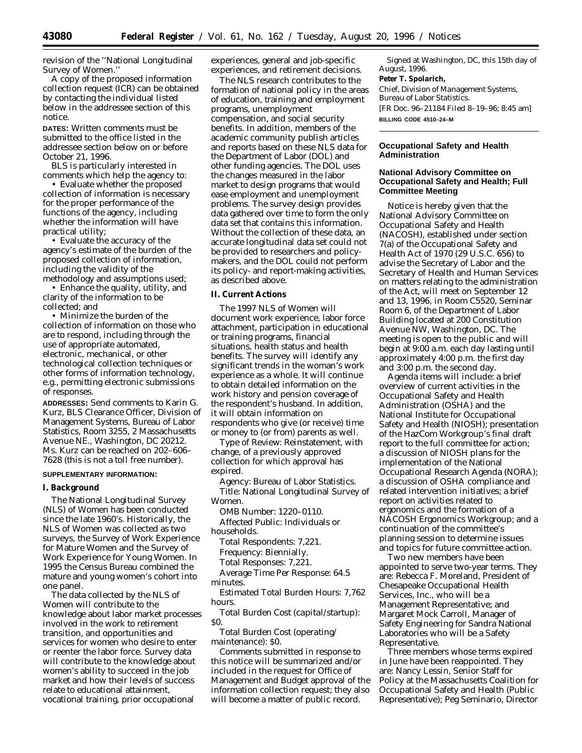A copy of the proposed information collection request (ICR) can be obtained by contacting the individual listed below in the addressee section of this notice.

**DATES:** Written comments must be submitted to the office listed in the addressee section below on or before October 21, 1996.

BLS is particularly interested in comments which help the agency to:

• Evaluate whether the proposed collection of information is necessary for the proper performance of the functions of the agency, including whether the information will have practical utility;

• Evaluate the accuracy of the agency's estimate of the burden of the proposed collection of information, including the validity of the methodology and assumptions used;

• Enhance the quality, utility, and clarity of the information to be collected; and

• Minimize the burden of the collection of information on those who are to respond, including through the use of appropriate automated, electronic, mechanical, or other technological collection techniques or other forms of information technology, e.g., permitting electronic submissions of responses.

**ADDRESSES:** Send comments to Karin G. Kurz, BLS Clearance Officer, Division of Management Systems, Bureau of Labor Statistics, Room 3255, 2 Massachusetts Avenue NE., Washington, DC 20212. Ms. Kurz can be reached on 202–606– 7628 (this is not a toll free number).

### **SUPPLEMENTARY INFORMATION:**

#### **I. Background**

The National Longitudinal Survey (NLS) of Women has been conducted since the late 1960's. Historically, the NLS of Women was collected as two surveys, the Survey of Work Experience for Mature Women and the Survey of Work Experience for Young Women. In 1995 the Census Bureau combined the mature and young women's cohort into one panel.

The data collected by the NLS of Women will contribute to the knowledge about labor market processes involved in the work to retirement transition, and opportunities and services for women who desire to enter or reenter the labor force. Survey data will contribute to the knowledge about women's ability to succeed in the job market and how their levels of success relate to educational attainment, vocational training, prior occupational

experiences, general and job-specific experiences, and retirement decisions.

The NLS research contributes to the formation of national policy in the areas of education, training and employment programs, unemployment compensation, and social security benefits. In addition, members of the academic community publish articles and reports based on these NLS data for the Department of Labor (DOL) and other funding agencies. The DOL uses the changes measured in the labor market to design programs that would ease employment and unemployment problems. The survey design provides data gathered over time to form the only data set that contains this information. Without the collection of these data, an accurate longitudinal data set could not be provided to researchers and policymakers, and the DOL could not perform its policy- and report-making activities, as described above.

### **II. Current Actions**

The 1997 NLS of Women will document work experience, labor force attachment, participation in educational or training programs, financial situations, health status and health benefits. The survey will identify any significant trends in the woman's work experience as a whole. It will continue to obtain detailed information on the work history and pension coverage of the respondent's husband. In addition, it will obtain information on respondents who give (or receive) time or money to (or from) parents as well.

*Type of Review:* Reinstatement, with change, of a previously approved collection for which approval has expired.

*Agency:* Bureau of Labor Statistics. *Title:* National Longitudinal Survey of Women.

*OMB Number:* 1220–0110. *Affected Public:* Individuals or

households.

*Total Respondents:* 7,221.

*Frequency:* Biennially.

*Total Responses:* 7,221.

*Average Time Per Response:* 64.5 minutes.

*Estimated Total Burden Hours:* 7,762 hours.

*Total Burden Cost (capital/startup):* \$0.

*Total Burden Cost (operating/ maintenance):* \$0.

Comments submitted in response to this notice will be summarized and/or included in the request for Office of Management and Budget approval of the information collection request; they also will become a matter of public record.

Signed at Washington, DC, this 15th day of August, 1996. **Peter T. Spolarich,** *Chief, Division of Management Systems, Bureau of Labor Statistics.* [FR Doc. 96–21184 Filed 8–19–96; 8:45 am] **BILLING CODE 4510–24–M**

# **Occupational Safety and Health Administration**

### **National Advisory Committee on Occupational Safety and Health; Full Committee Meeting**

Notice is hereby given that the National Advisory Committee on Occupational Safety and Health (NACOSH), established under section 7(a) of the Occupational Safety and Health Act of 1970 (29 U.S.C. 656) to advise the Secretary of Labor and the Secretary of Health and Human Services on matters relating to the administration of the Act, will meet on September 12 and 13, 1996, in Room C5520, Seminar Room 6, of the Department of Labor Building located at 200 Constitution Avenue NW, Washington, DC. The meeting is open to the public and will begin at 9:00 a.m. each day lasting until approximately 4:00 p.m. the first day and 3:00 p.m. the second day.

Agenda items will include: a brief overview of current activities in the Occupational Safety and Health Administration (OSHA) and the National Institute for Occupational Safety and Health (NIOSH); presentation of the HazCom Workgroup's final draft report to the full committee for action; a discussion of NIOSH plans for the implementation of the National Occupational Research Agenda (NORA); a discussion of OSHA compliance and related intervention initiatives; a brief report on activities related to ergonomics and the formation of a NACOSH Ergonomics Workgroup; and a continuation of the committee's planning session to determine issues and topics for future committee action.

Two new members have been appointed to serve two-year terms. They are: Rebecca F. Moreland, President of Chesapeake Occupational Health Services, Inc., who will be a Management Representative; and Margaret Mock Carroll, Manager of Safety Engineering for Sandra National Laboratories who will be a Safety Representative.

Three members whose terms expired in June have been reappointed. They are: Nancy Lessin, Senior Staff for Policy at the Massachusetts Coalition for Occupational Safety and Health (Public Representative); Peg Seminario, Director